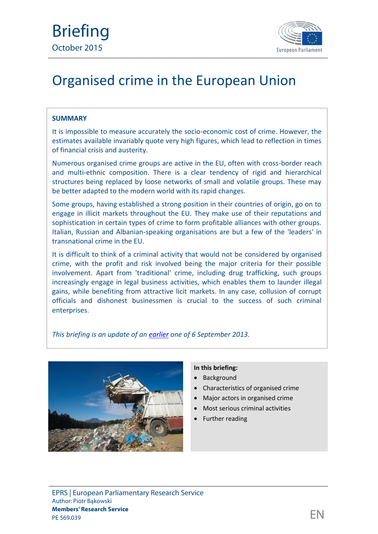

# Organised crime in the European Union

#### **SUMMARY**

It is impossible to measure accurately the socio-economic cost of crime. However, the estimates available invariably quote very high figures, which lead to reflection in times of financial crisis and austerity.

Numerous organised crime groups are active in the EU, often with cross-border reach and multi-ethnic composition. There is a clear tendency of rigid and hierarchical structures being replaced by loose networks of small and volatile groups. These may be better adapted to the modern world with its rapid changes.

Some groups, having established a strong position in their countries of origin, go on to engage in illicit markets throughout the EU. They make use of their reputations and sophistication in certain types of crime to form profitable alliances with other groups. Italian, Russian and Albanian-speaking organisations are but a few of the 'leaders' in transnational crime in the EU.

It is difficult to think of a criminal activity that would not be considered by organised crime, with the profit and risk involved being the major criteria for their possible involvement. Apart from 'traditional' crime, including drug trafficking, such groups increasingly engage in legal business activities, which enables them to launder illegal gains, while benefiting from attractive licit markets. In any case, collusion of corrupt officials and dishonest businessmen is crucial to the success of such criminal enterprises.

*This briefing is an update of an [earlier](http://www.europarl.europa.eu/RegData/bibliotheque/briefing/2013/130566/LDM_BRI%282013%29130566_REV2_EN.pdf) one of 6 September 2013.*



#### **In this briefing:**

- Background
- Characteristics of organised crime
- Major actors in organised crime
- Most serious criminal activities
- Further reading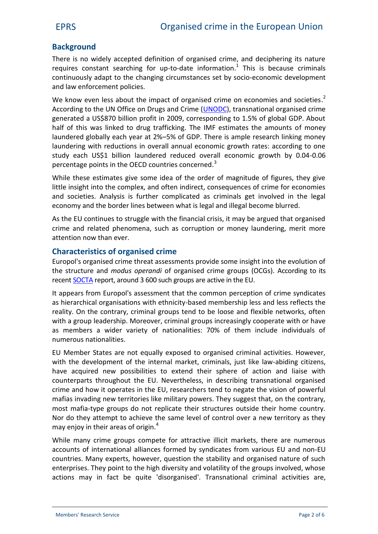## **Background**

There is no widely accepted definition of organised crime, and deciphering its nature requires constant searching for up-to-date information.<sup>1</sup> This is because criminals continuously adapt to the changing circumstances set by socio-economic development and law enforcement policies.

We know even less about the impact of organised crime on economies and societies.<sup>2</sup> According to the UN Office on Drugs and Crime [\(UNODC](http://www.unodc.org/documents/data-and-analysis/Studies/Illicit_financial_flows_2011_web.pdf)), transnational organised crime generated a US\$870 billion profit in 2009, corresponding to 1.5% of global GDP. About half of this was linked to drug trafficking. The IMF estimates the amounts of money laundered globally each year at 2%–5% of GDP. There is ample research linking money laundering with reductions in overall annual economic growth rates: according to one study each US\$1 billion laundered reduced overall economic growth by 0.04-0.06 percentage points in the OECD countries concerned.<sup>3</sup>

While these estimates give some idea of the order of magnitude of figures, they give little insight into the complex, and often indirect, consequences of crime for economies and societies. Analysis is further complicated as criminals get involved in the legal economy and the border lines between what is legal and illegal become blurred.

As the EU continues to struggle with the financial crisis, it may be argued that organised crime and related phenomena, such as corruption or money laundering, merit more attention now than ever.

## **Characteristics of organised crime**

Europol's organised crime threat assessments provide some insight into the evolution of the structure and *modus operandi* of organised crime groups (OCGs). According to its recent [SOCTA](https://www.europol.europa.eu/content/eu-serious-and-organised-crime-threat-assessment-socta) report, around 3 600 such groups are active in the EU.

It appears from Europol's assessment that the common perception of crime syndicates as hierarchical organisations with ethnicity-based membership less and less reflects the reality. On the contrary, criminal groups tend to be loose and flexible networks, often with a group leadership. Moreover, criminal groups increasingly cooperate with or have as members a wider variety of nationalities: 70% of them include individuals of numerous nationalities.

EU Member States are not equally exposed to organised criminal activities. However, with the development of the internal market, criminals, just like law-abiding citizens, have acquired new possibilities to extend their sphere of action and liaise with counterparts throughout the EU. Nevertheless, in describing transnational organised crime and how it operates in the EU, researchers tend to negate the vision of powerful mafias invading new territories like military powers. They suggest that, on the contrary, most mafia-type groups do not replicate their structures outside their home country. Nor do they attempt to achieve the same level of control over a new territory as they may enjoy in their areas of origin.<sup>4</sup>

While many crime groups compete for attractive illicit markets, there are numerous accounts of international alliances formed by syndicates from various EU and non-EU countries. Many experts, however, question the stability and organised nature of such enterprises. They point to the high diversity and volatility of the groups involved, whose actions may in fact be quite 'disorganised'. Transnational criminal activities are,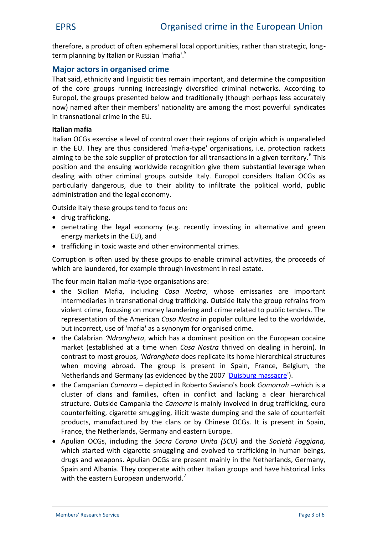therefore, a product of often ephemeral local opportunities, rather than strategic, long term planning by Italian or Russian 'mafia'.<sup>5</sup>

### **Major actors in organised crime**

That said, ethnicity and linguistic ties remain important, and determine the composition of the core groups running increasingly diversified criminal networks. According to Europol, the groups presented below and traditionally (though perhaps less accurately now) named after their members' nationality are among the most powerful syndicates in transnational crime in the EU.

#### **Italian mafia**

Italian OCGs exercise a level of control over their regions of origin which is unparalleled in the EU. They are thus considered 'mafia-type' organisations, i.e. protection rackets aiming to be the sole supplier of protection for all transactions in a given territory.<sup>6</sup> This position and the ensuing worldwide recognition give them substantial leverage when dealing with other criminal groups outside Italy. Europol considers Italian OCGs as particularly dangerous, due to their ability to infiltrate the political world, public administration and the legal economy.

Outside Italy these groups tend to focus on:

- drug trafficking,
- penetrating the legal economy (e.g. recently investing in alternative and green energy markets in the EU), and
- trafficking in toxic waste and other environmental crimes.

Corruption is often used by these groups to enable criminal activities, the proceeds of which are laundered, for example through investment in real estate.

The four main Italian mafia-type organisations are:

- the Sicilian Mafia, including *Cosa Nostra*, whose emissaries are important intermediaries in transnational drug trafficking. Outside Italy the group refrains from violent crime, focusing on money laundering and crime related to public tenders. The representation of the American *Cosa Nostra* in popular culture led to the worldwide, but incorrect, use of 'mafia' as a synonym for organised crime.
- the Calabrian *'Ndrangheta*, which has a dominant position on the European cocaine market (established at a time when *Cosa Nostra* thrived on dealing in heroin). In contrast to most groups, *'Ndrangheta* does replicate its home hierarchical structures when moving abroad. The group is present in Spain, France, Belgium, the Netherlands and Germany (as evidenced by the 2007 '[Duisburg massacre'](http://news.bbc.co.uk/2/hi/europe/6949274.stm)).
- the Campanian *Camorra* depicted in Roberto Saviano's book *Gomorrah* –which is a cluster of clans and families, often in conflict and lacking a clear hierarchical structure. Outside Campania the *Camorra* is mainly involved in drug trafficking, euro counterfeiting, cigarette smuggling, illicit waste dumping and the sale of counterfeit products, manufactured by the clans or by Chinese OCGs. It is present in Spain, France, the Netherlands, Germany and eastern Europe.
- Apulian OCGs, including the *Sacra Corona Unita (SCU)* and the *Società Foggiana,* which started with cigarette smuggling and evolved to trafficking in human beings, drugs and weapons. Apulian OCGs are present mainly in the Netherlands, Germany, Spain and Albania. They cooperate with other Italian groups and have historical links with the eastern European underworld.<sup>7</sup>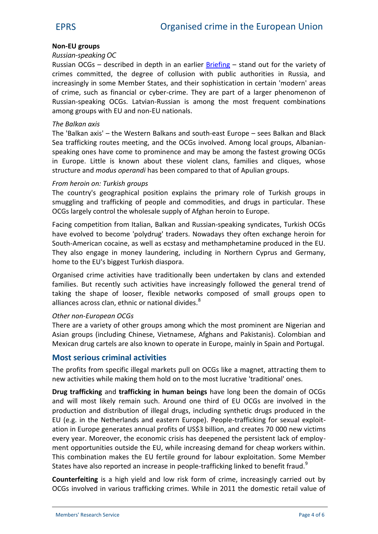#### **Non-EU groups**

#### *Russian-speaking OC*

Russian OCGs – described in depth in an earlier  $Briefing$  $Briefing$  $Briefing$  – stand out for the variety of</u> crimes committed, the degree of collusion with public authorities in Russia, and increasingly in some Member States, and their sophistication in certain 'modern' areas of crime, such as financial or cyber-crime. They are part of a larger phenomenon of Russian-speaking OCGs. Latvian-Russian is among the most frequent combinations among groups with EU and non-EU nationals.

#### *The Balkan axis*

The 'Balkan axis' – the Western Balkans and south-east Europe – sees Balkan and Black Sea trafficking routes meeting, and the OCGs involved. Among local groups, Albanian speaking ones have come to prominence and may be among the fastest growing OCGs in Europe. Little is known about these violent clans, families and cliques, whose structure and *modus operandi* has been compared to that of Apulian groups.

#### *From heroin on: Turkish groups*

The country's geographical position explains the primary role of Turkish groups in smuggling and trafficking of people and commodities, and drugs in particular. These OCGs largely control the wholesale supply of Afghan heroin to Europe.

Facing competition from Italian, Balkan and Russian-speaking syndicates, Turkish OCGs have evolved to become 'polydrug' traders. Nowadays they often exchange heroin for South-American cocaine, as well as ecstasy and methamphetamine produced in the EU. They also engage in money laundering, including in Northern Cyprus and Germany, home to the EU's biggest Turkish diaspora.

Organised crime activities have traditionally been undertaken by clans and extended families. But recently such activities have increasingly followed the general trend of taking the shape of looser, flexible networks composed of small groups open to alliances across clan, ethnic or national divides.<sup>8</sup>

#### *Other non-European OCGs*

There are a variety of other groups among which the most prominent are Nigerian and Asian groups (including Chinese, Vietnamese, Afghans and Pakistanis). Colombian and Mexican drug cartels are also known to operate in Europe, mainly in Spain and Portugal.

#### **Most serious criminal activities**

The profits from specific illegal markets pull on OCGs like a magnet, attracting them to new activities while making them hold on to the most lucrative 'traditional' ones.

**Drug trafficking** and **trafficking in human beings** have long been the domain of OCGs and will most likely remain such. Around one third of EU OCGs are involved in the production and distribution of illegal drugs, including synthetic drugs produced in the EU (e.g. in the Netherlands and eastern Europe). People-trafficking for sexual exploit ation in Europe generates annual profits of US\$3 billion, and creates 70 000 new victims every year. Moreover, the economic crisis has deepened the persistent lack of employ ment opportunities outside the EU, while increasing demand for cheap workers within. This combination makes the EU fertile ground for labour exploitation. Some Member States have also reported an increase in people-trafficking linked to benefit fraud.<sup>9</sup>

**Counterfeiting** is a high yield and low risk form of crime, increasingly carried out by OCGs involved in various trafficking crimes. While in 2011 the domestic retail value of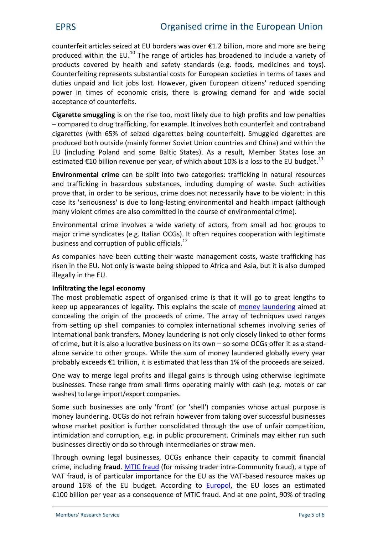counterfeit articles seized at EU borders was over €1.2 billion, more and more are being produced within the EU.<sup>10</sup> The range of articles has broadened to include a variety of products covered by health and safety standards (e.g. foods, medicines and toys). Counterfeiting represents substantial costs for European societies in terms of taxes and duties unpaid and licit jobs lost. However, given European citizens' reduced spending power in times of economic crisis, there is growing demand for and wide social acceptance of counterfeits.

**Cigarette smuggling** is on the rise too, most likely due to high profits and low penalties – compared to drug trafficking, for example. It involves both counterfeit and contraband cigarettes (with 65% of seized cigarettes being counterfeit). Smuggled cigarettes are produced both outside (mainly former Soviet Union countries and China) and within the EU (including Poland and some Baltic States). As a result, Member States lose an estimated  $\epsilon$ 10 billion revenue per year, of which about 10% is a loss to the EU budget.<sup>11</sup>

**Environmental crime** can be split into two categories: trafficking in natural resources and trafficking in hazardous substances, including dumping of waste. Such activities prove that, in order to be serious, crime does not necessarily have to be violent: in this case its 'seriousness' is due to long-lasting environmental and health impact (although many violent crimes are also committed in the course of environmental crime).

Environmental crime involves a wide variety of actors, from small ad hoc groups to major crime syndicates (e.g. Italian OCGs). It often requires cooperation with legitimate business and corruption of public officials.<sup>12</sup>

As companies have been cutting their waste management costs, waste trafficking has risen in the EU. Not only is waste being shipped to Africa and Asia, but it is also dumped illegally in the EU.

#### **Infiltrating the legal economy**

The most problematic aspect of organised crime is that it will go to great lengths to keep up appearances of legality. This explains the scale of [money laundering](http://www.europarl.europa.eu/RegData/bibliotheque/briefing/2012/120360/LDM_BRI%282012%29120360_REV1_EN.pdf) aimed at concealing the origin of the proceeds of crime. The array of techniques used ranges from setting up shell companies to complex international schemes involving series of international bank transfers. Money laundering is not only closely linked to other forms of crime, but it is also a lucrative business on its own – so some OCGs offer it as a stand alone service to other groups. While the sum of money laundered globally every year probably exceeds €1 trillion, it is estimated that less than 1% of the proceeds are seized.

One way to merge legal profits and illegal gains is through using otherwise legitimate businesses. These range from small firms operating mainly with cash (e.g. motels or car washes) to large import/export companies.

Some such businesses are only 'front' (or 'shell') companies whose actual purpose is money laundering. OCGs do not refrain however from taking over successful businesses whose market position is further consolidated through the use of unfair competition, intimidation and corruption, e.g. in public procurement. Criminals may either run such businesses directly or do so through intermediaries or straw men.

Through owning legal businesses, OCGs enhance their capacity to commit financial crime, including **fraud**. [MTIC fraud](http://www.out-law.com/en/topics/tax/tax-litigation--disputes-/missing-trader-fraud-mtic/) (for missing trader intra-Community fraud), a type of VAT fraud, is of particular importance for the EU as the VAT-based resource makes up around 16% of the EU budget. According to [Europol](https://www.europol.europa.eu/content/eu-serious-and-organised-crime-threat-assessment-socta), the EU loses an estimated €100 billion per year as a consequence of MTIC fraud. And at one point, 90% of trading